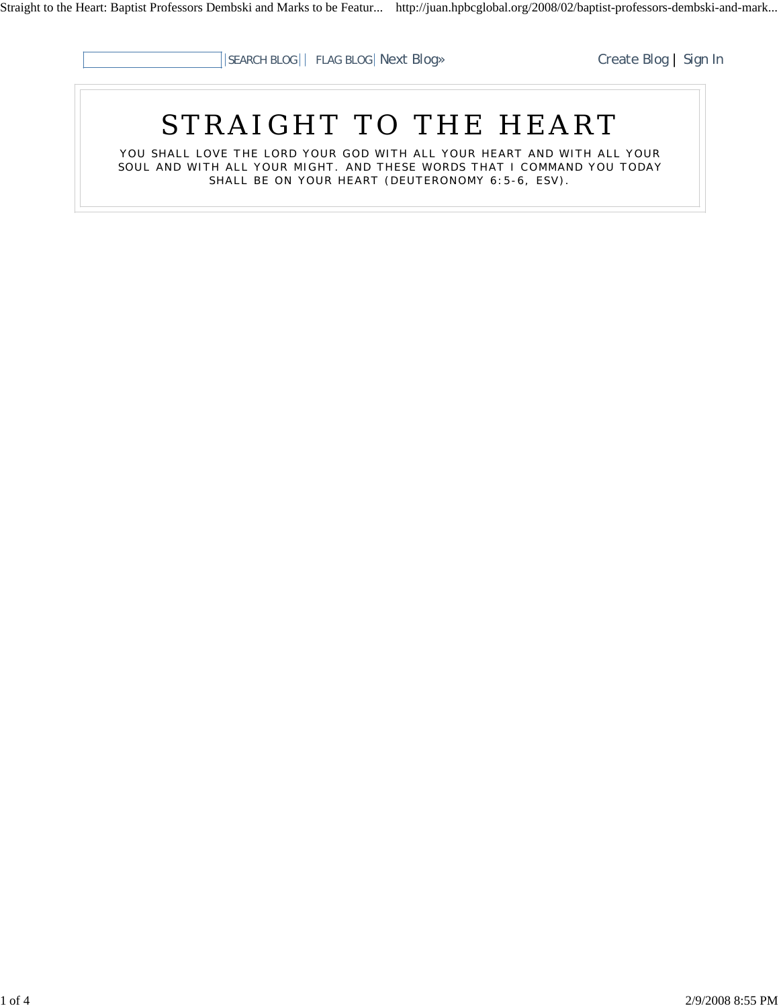

# STRAIGHT TO THE HEART

YOU SHALL LOVE THE LORD YOUR GOD WITH ALL YOUR HEART AND WITH ALL YOUR SOUL AND WITH ALL YOUR MIGHT. AND THESE WORDS THAT I COMMAND YOU TODAY SHALL BE ON YOUR HEART (DEUTERONOMY 6:5-6, ESV).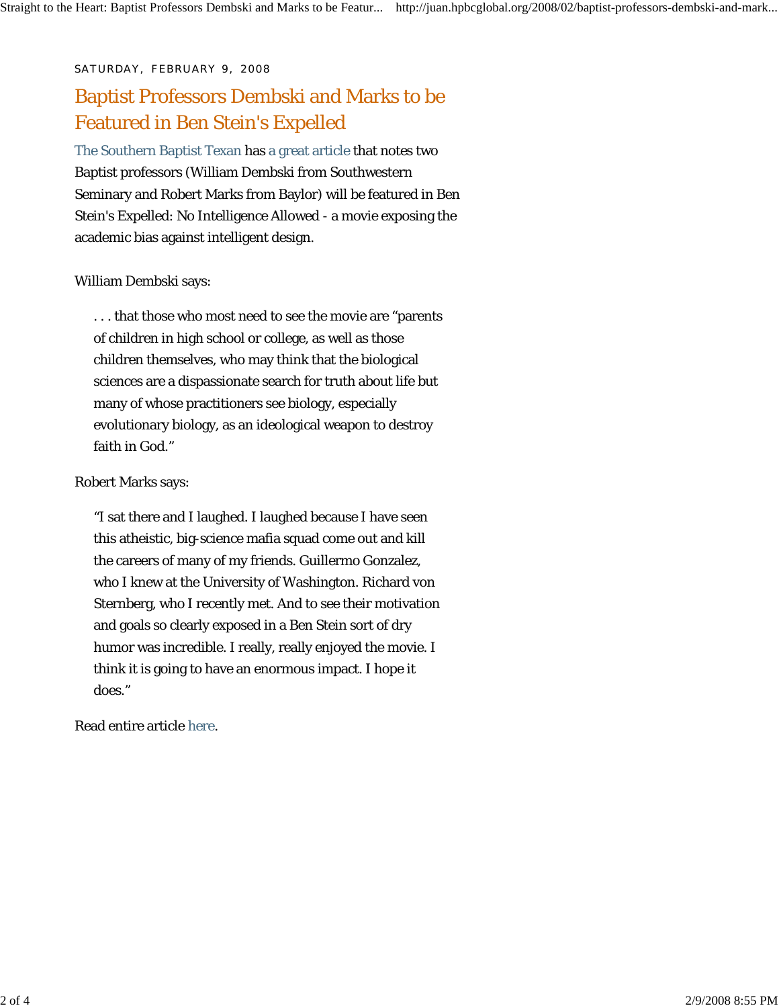#### SATURDAY, FEBRUARY 9, 2008

## Baptist Professors Dembski and Marks to be Featured in Ben Stein's Expelled

The Southern Baptist Texan has a great article that notes two Baptist professors (William Dembski from Southwestern Seminary and Robert Marks from Baylor) will be featured in Ben Stein's Expelled: No Intelligence Allowed - a movie exposing the academic bias against intelligent design.

#### William Dembski says:

. . . that those who most need to see the movie are "parents of children in high school or college, as well as those children themselves, who may think that the biological sciences are a dispassionate search for truth about life but many of whose practitioners see biology, especially evolutionary biology, as an ideological weapon to destroy faith in God."

#### Robert Marks says:

"I sat there and I laughed. I laughed because I have seen this atheistic, big-science mafia squad come out and kill the careers of many of my friends. Guillermo Gonzalez, who I knew at the University of Washington. Richard von Sternberg, who I recently met. And to see their motivation and goals so clearly exposed in a Ben Stein sort of dry humor was incredible. I really, really enjoyed the movie. I think it is going to have an enormous impact. I hope it does."

Read entire article here.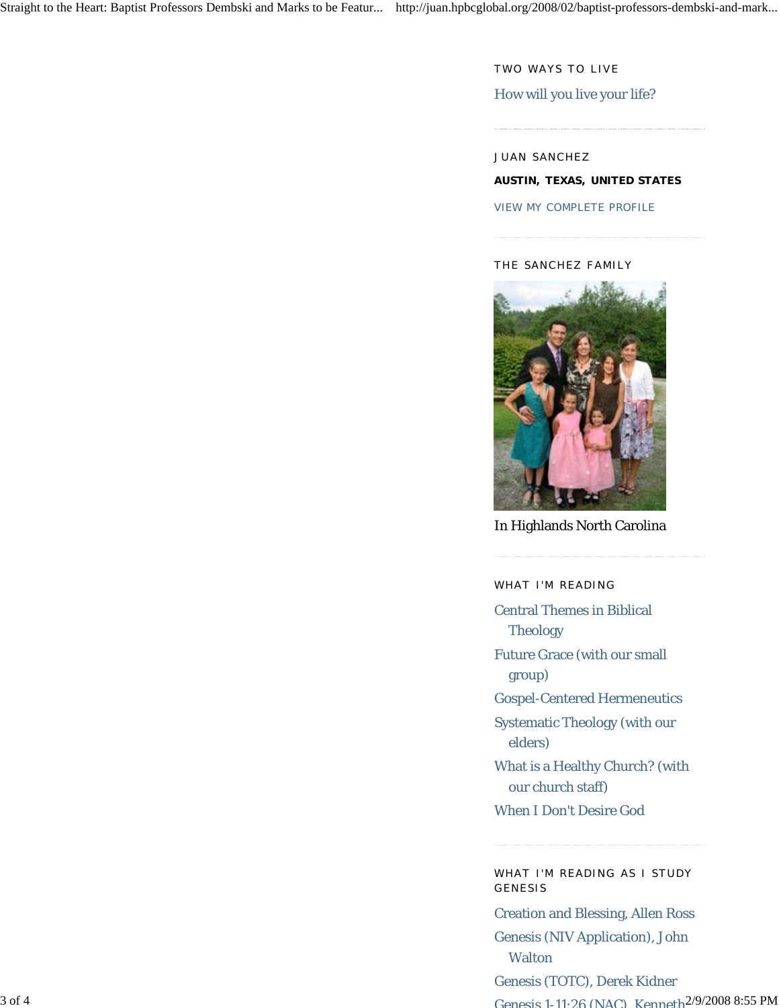TWO WAYS TO LIVE

### How will you live your life?

JUAN SANCHEZ **AUSTIN, TEXAS, UNITED STATES**

VIEW MY COMPLETE PROFILE

#### THE SANCHEZ FAMILY



In Highlands North Carolina

WHAT I'M READING

Central Themes in Biblical Theology

Future Grace (with our small group)

Gospel-Centered Hermeneutics

Systematic Theology (with our elders)

What is a Healthy Church? (with our church staff)

When I Don't Desire God

WHAT I'M READING AS I STUDY GENESIS

Creation and Blessing, Allen Ross Genesis (NIV Application), John **Walton** 

3 of 4 2/9/2008 8:55 PM Genesis 1-11:26 (NAC) Kenneth Genesis (TOTC), Derek Kidner